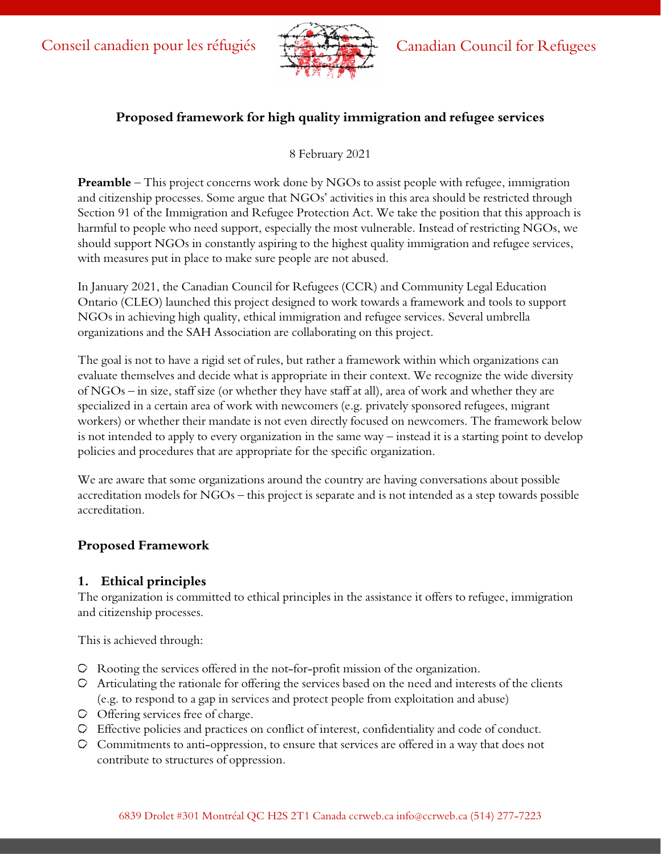

## **Proposed framework for high quality immigration and refugee services**

8 February 2021

**Preamble** – This project concerns work done by NGOs to assist people with refugee, immigration and citizenship processes. Some argue that NGOs' activities in this area should be restricted through Section 91 of the Immigration and Refugee Protection Act. We take the position that this approach is harmful to people who need support, especially the most vulnerable. Instead of restricting NGOs, we should support NGOs in constantly aspiring to the highest quality immigration and refugee services, with measures put in place to make sure people are not abused.

In January 2021, the Canadian Council for Refugees (CCR) and Community Legal Education Ontario (CLEO) launched this project designed to work towards a framework and tools to support NGOs in achieving high quality, ethical immigration and refugee services. Several umbrella organizations and the SAH Association are collaborating on this project.

The goal is not to have a rigid set of rules, but rather a framework within which organizations can evaluate themselves and decide what is appropriate in their context. We recognize the wide diversity of NGOs – in size, staff size (or whether they have staff at all), area of work and whether they are specialized in a certain area of work with newcomers (e.g. privately sponsored refugees, migrant workers) or whether their mandate is not even directly focused on newcomers. The framework below is not intended to apply to every organization in the same way – instead it is a starting point to develop policies and procedures that are appropriate for the specific organization.

We are aware that some organizations around the country are having conversations about possible accreditation models for NGOs – this project is separate and is not intended as a step towards possible accreditation.

# **Proposed Framework**

#### **1. Ethical principles**

The organization is committed to ethical principles in the assistance it offers to refugee, immigration and citizenship processes.

This is achieved through:

- Rooting the services offered in the not-for-profit mission of the organization.
- Articulating the rationale for offering the services based on the need and interests of the clients (e.g. to respond to a gap in services and protect people from exploitation and abuse)
- Offering services free of charge.
- Effective policies and practices on conflict of interest, confidentiality and code of conduct.
- Commitments to anti-oppression, to ensure that services are offered in a way that does not contribute to structures of oppression.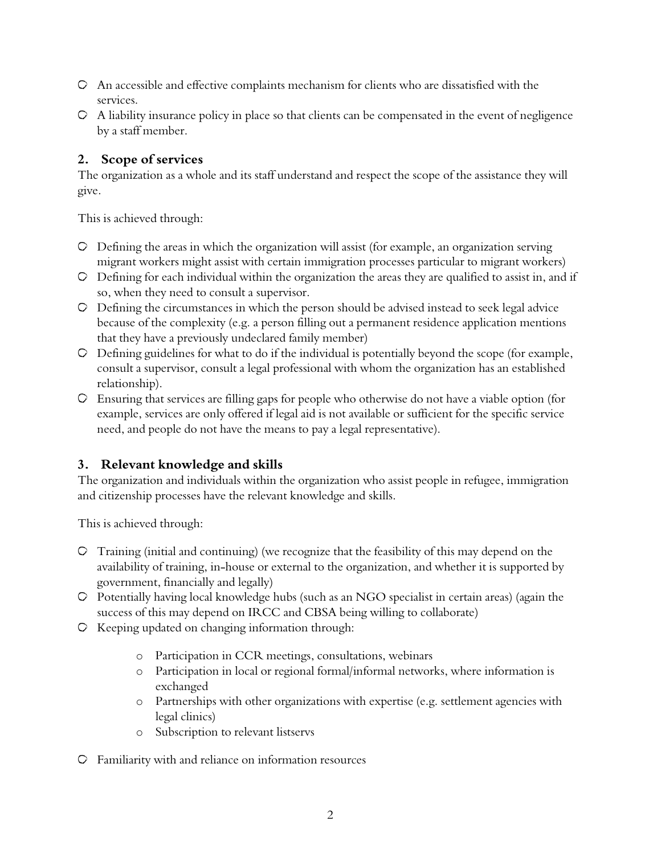- An accessible and effective complaints mechanism for clients who are dissatisfied with the services.
- $\circ$  A liability insurance policy in place so that clients can be compensated in the event of negligence by a staff member.

## **2. Scope of services**

The organization as a whole and its staff understand and respect the scope of the assistance they will give.

This is achieved through:

- $\circ$  Defining the areas in which the organization will assist (for example, an organization serving migrant workers might assist with certain immigration processes particular to migrant workers)
- Defining for each individual within the organization the areas they are qualified to assist in, and if so, when they need to consult a supervisor.
- Defining the circumstances in which the person should be advised instead to seek legal advice because of the complexity (e.g. a person filling out a permanent residence application mentions that they have a previously undeclared family member)
- $\circ$  Defining guidelines for what to do if the individual is potentially beyond the scope (for example, consult a supervisor, consult a legal professional with whom the organization has an established relationship).
- Ensuring that services are filling gaps for people who otherwise do not have a viable option (for example, services are only offered if legal aid is not available or sufficient for the specific service need, and people do not have the means to pay a legal representative).

# **3. Relevant knowledge and skills**

The organization and individuals within the organization who assist people in refugee, immigration and citizenship processes have the relevant knowledge and skills.

This is achieved through:

- Training (initial and continuing) (we recognize that the feasibility of this may depend on the availability of training, in-house or external to the organization, and whether it is supported by government, financially and legally)
- Potentially having local knowledge hubs (such as an NGO specialist in certain areas) (again the success of this may depend on IRCC and CBSA being willing to collaborate)
- $\circ$  Keeping updated on changing information through:
	- o Participation in CCR meetings, consultations, webinars
	- o Participation in local or regional formal/informal networks, where information is exchanged
	- o Partnerships with other organizations with expertise (e.g. settlement agencies with legal clinics)
	- o Subscription to relevant listservs
- Familiarity with and reliance on information resources